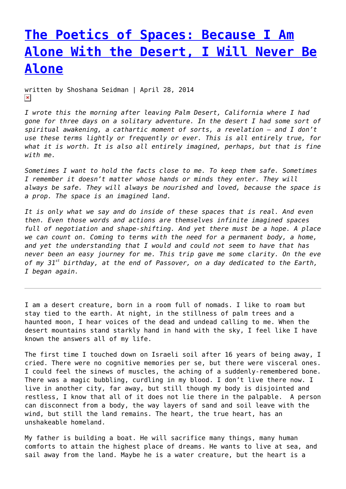## **[The Poetics of Spaces: Because I Am](https://entropymag.org/the-poetics-of-spaces-because-i-am-alone-with-the-desert-i-will-never-be-alone/) [Alone With the Desert, I Will Never Be](https://entropymag.org/the-poetics-of-spaces-because-i-am-alone-with-the-desert-i-will-never-be-alone/) [Alone](https://entropymag.org/the-poetics-of-spaces-because-i-am-alone-with-the-desert-i-will-never-be-alone/)**

written by Shoshana Seidman | April 28, 2014  $\pmb{\times}$ 

*I wrote this the morning after leaving Palm Desert, California where I had gone for three days on a solitary adventure. In the desert I had some sort of spiritual awakening, a cathartic moment of sorts, a revelation – and I don't use these terms lightly or frequently or ever. This is all entirely true, for what it is worth. It is also all entirely imagined, perhaps, but that is fine with me.*

*Sometimes I want to hold the facts close to me. To keep them safe. Sometimes I remember it doesn't matter whose hands or minds they enter. They will always be safe. They will always be nourished and loved, because the space is a prop. The space is an imagined land.*

*It is only what we say and do inside of these spaces that is real. And even then. Even those words and actions are themselves infinite imagined spaces full of negotiation and shape-shifting. And yet there must be a hope. A place we can count on. Coming to terms with the need for a permanent body, a home, and yet the understanding that I would and could not seem to have that has never been an easy journey for me. This trip gave me some clarity. On the eve of my 31st birthday, at the end of Passover, on a day dedicated to the Earth, I began again.*

I am a desert creature, born in a room full of nomads. I like to roam but stay tied to the earth. At night, in the stillness of palm trees and a haunted moon, I hear voices of the dead and undead calling to me. When the desert mountains stand starkly hand in hand with the sky, I feel like I have known the answers all of my life.

The first time I touched down on Israeli soil after 16 years of being away, I cried. There were no cognitive memories per se, but there were visceral ones. I could feel the sinews of muscles, the aching of a suddenly-remembered bone. There was a magic bubbling, curdling in my blood. I don't live there now. I live in another city, far away, but still though my body is disjointed and restless, I know that all of it does not lie there in the palpable. A person can disconnect from a body, the way layers of sand and soil leave with the wind, but still the land remains. The heart, the true heart, has an unshakeable homeland.

My father is building a boat. He will sacrifice many things, many human comforts to attain the highest place of dreams. He wants to live at sea, and sail away from the land. Maybe he is a water creature, but the heart is a